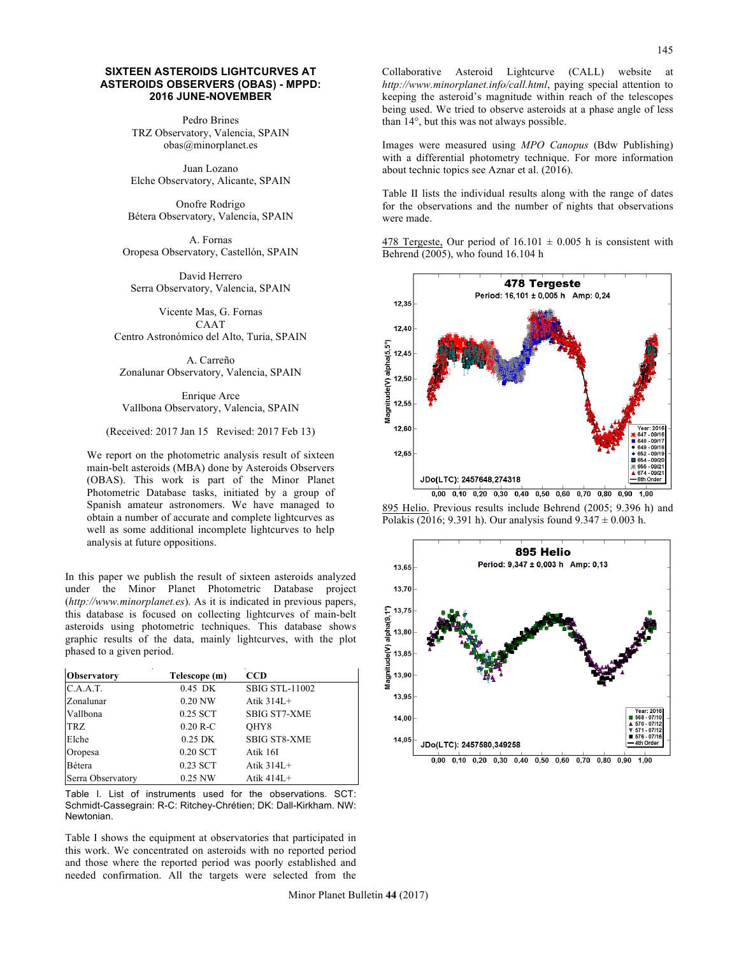## **SIXTEEN ASTEROIDS LIGHTCURVES AT ASTEROIDS OBSERVERS (OBAS) - MPPD: 2016 JUNE-NOVEMBER**

Pedro Brines TRZ Observatory, Valencia, SPAIN obas@minorplanet.es

Juan Lozano Elche Observatory, Alicante, SPAIN

Onofre Rodrigo Bétera Observatory, Valencia, SPAIN

A. Fornas Oropesa Observatory, Castellón, SPAIN

David Herrero Serra Observatory, Valencia, SPAIN

Vicente Mas, G. Fornas CAAT Centro Astronómico del Alto, Turia, SPAIN

A. Carreño Zonalunar Observatory, Valencia, SPAIN

Enrique Arce Vallbona Observatory, Valencia, SPAIN

(Received: 2017 Jan 15 Revised: 2017 Feb 13)

We report on the photometric analysis result of sixteen main-belt asteroids (MBA) done by Asteroids Observers (OBAS). This work is part of the Minor Planet Photometric Database tasks, initiated by a group of Spanish amateur astronomers. We have managed to obtain a number of accurate and complete lightcurves as well as some additional incomplete lightcurves to help analysis at future oppositions.

In this paper we publish the result of sixteen asteroids analyzed under the Minor Planet Photometric Database project (*http://www.minorplanet.es*). As it is indicated in previous papers, this database is focused on collecting lightcurves of main-belt asteroids using photometric techniques. This database shows graphic results of the data, mainly lightcurves, with the plot phased to a given period.

| <b>Observatory</b> | Telescope (m) | <b>CCD</b>            |
|--------------------|---------------|-----------------------|
| C.A.A.T.           | 0.45 DK       | <b>SBIG STL-11002</b> |
| Zonalunar          | 0.20 NW       | Atik $314L+$          |
| Vallbona           | 0.25 SCT      | <b>SBIG ST7-XME</b>   |
| <b>TRZ</b>         | $0.20 R-C$    | OHY8                  |
| Elche              | $0.25$ DK     | <b>SBIG ST8-XME</b>   |
| Oropesa            | 0.20 SCT      | Atik 16I              |
| Bétera             | 0.23 SCT      | Atik $314L+$          |
| Serra Observatory  | 0.25 NW       | Atik $414L+$          |

Table I. List of instruments used for the observations. SCT: Schmidt-Cassegrain: R-C: Ritchey-Chrétien; DK: Dall-Kirkham. NW: Newtonian.

Table I shows the equipment at observatories that participated in this work. We concentrated on asteroids with no reported period and those where the reported period was poorly established and needed confirmation. All the targets were selected from the Collaborative Asteroid Lightcurve (CALL) website at *http://www.minorplanet.info/call.html*, paying special attention to keeping the asteroid's magnitude within reach of the telescopes being used. We tried to observe asteroids at a phase angle of less than 14°, but this was not always possible.

Images were measured using *MPO Canopus* (Bdw Publishing) with a differential photometry technique. For more information about technic topics see Aznar et al. (2016).

Table II lists the individual results along with the range of dates for the observations and the number of nights that observations were made.

478 Tergeste, Our period of  $16.101 \pm 0.005$  h is consistent with Behrend (2005), who found 16.104 h



895 Helio. Previous results include Behrend (2005; 9.396 h) and Polakis (2016; 9.391 h). Our analysis found  $9.347 \pm 0.003$  h.

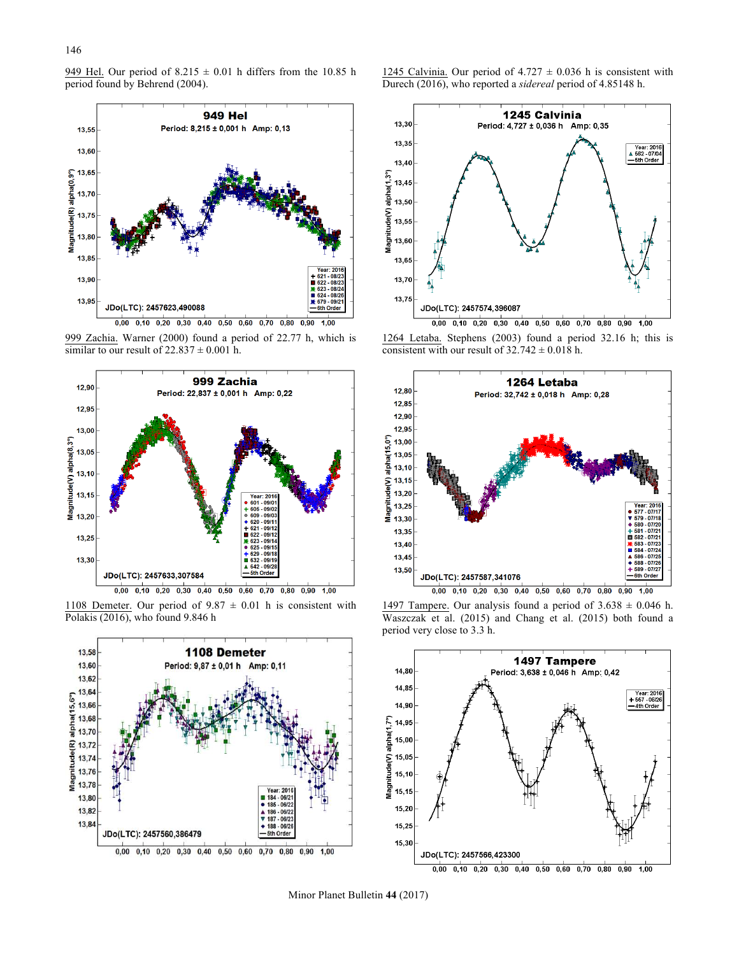949 Hel. Our period of  $8.215 \pm 0.01$  h differs from the 10.85 h period found by Behrend (2004).



999 Zachia. Warner (2000) found a period of 22.77 h, which is similar to our result of  $22.837 \pm 0.001$  h.



1108 Demeter. Our period of  $9.87 \pm 0.01$  h is consistent with Polakis (2016), who found 9.846 h



1245 Calvinia. Our period of  $4.727 \pm 0.036$  h is consistent with Durech (2016), who reported a *sidereal* period of 4.85148 h.



1264 Letaba. Stephens (2003) found a period 32.16 h; this is consistent with our result of  $32.742 \pm 0.018$  h.



1497 Tampere. Our analysis found a period of  $3.638 \pm 0.046$  h. Waszczak et al. (2015) and Chang et al. (2015) both found a period very close to 3.3 h.



Minor Planet Bulletin **44** (2017)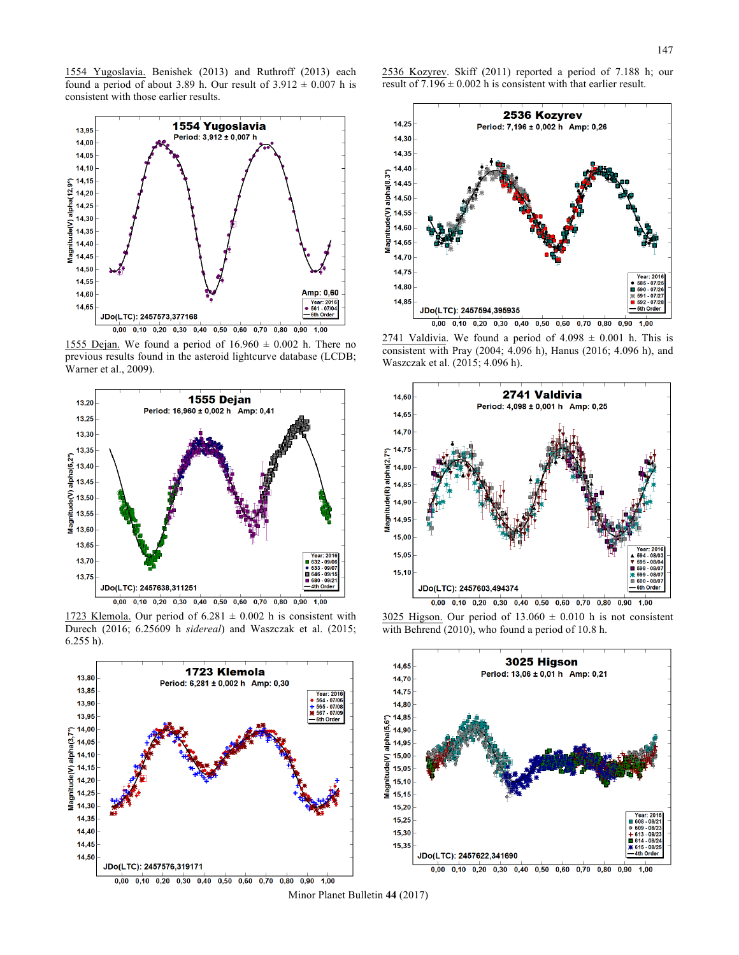1554 Yugoslavia. Benishek (2013) and Ruthroff (2013) each found a period of about 3.89 h. Our result of  $3.912 \pm 0.007$  h is consistent with those earlier results.



1555 Dejan. We found a period of  $16.960 \pm 0.002$  h. There no previous results found in the asteroid lightcurve database (LCDB; Warner et al., 2009).



1723 Klemola. Our period of  $6.281 \pm 0.002$  h is consistent with Durech (2016; 6.25609 h *sidereal*) and Waszczak et al. (2015; 6.255 h).



2536 Kozyrev. Skiff (2011) reported a period of 7.188 h; our result of  $7.196 \pm 0.002$  h is consistent with that earlier result.



 $2741$  Valdivia. We found a period of  $4.098 \pm 0.001$  h. This is consistent with Pray (2004; 4.096 h), Hanus (2016; 4.096 h), and Waszczak et al. (2015; 4.096 h).



3025 Higson. Our period of  $13.060 \pm 0.010$  h is not consistent with Behrend (2010), who found a period of 10.8 h.



Minor Planet Bulletin **44** (2017)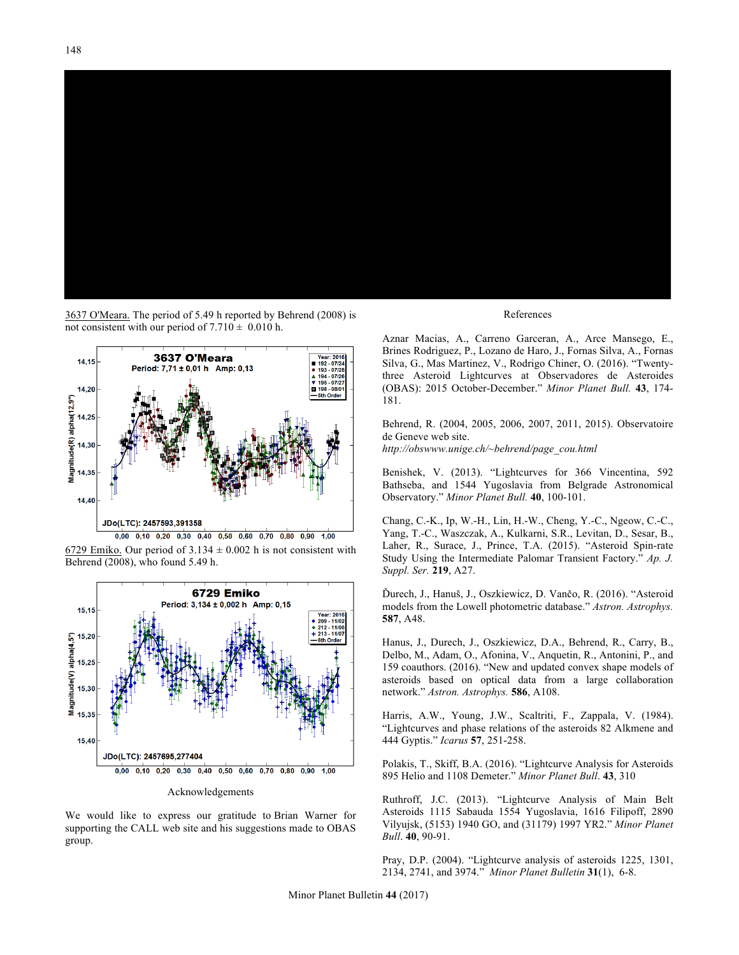

3637 O'Meara. The period of 5.49 h reported by Behrend (2008) is not consistent with our period of  $7.710 \pm 0.010$  h.



6729 Emiko. Our period of  $3.134 \pm 0.002$  h is not consistent with Behrend (2008), who found 5.49 h.



Acknowledgements

We would like to express our gratitude to Brian Warner for supporting the CALL web site and his suggestions made to OBAS group.

## References

Aznar Macias, A., Carreno Garceran, A., Arce Mansego, E., Brines Rodriguez, P., Lozano de Haro, J., Fornas Silva, A., Fornas Silva, G., Mas Martinez, V., Rodrigo Chiner, O. (2016). "Twentythree Asteroid Lightcurves at Observadores de Asteroides (OBAS): 2015 October-December." *Minor Planet Bull.* **43**, 174- 181.

Behrend, R. (2004, 2005, 2006, 2007, 2011, 2015). Observatoire de Geneve web site.

*http://obswww.unige.ch/~behrend/page\_cou.html*

Benishek, V. (2013). "Lightcurves for 366 Vincentina, 592 Bathseba, and 1544 Yugoslavia from Belgrade Astronomical Observatory." *Minor Planet Bull.* **40**, 100-101.

Chang, C.-K., Ip, W.-H., Lin, H.-W., Cheng, Y.-C., Ngeow, C.-C., Yang, T.-C., Waszczak, A., Kulkarni, S.R., Levitan, D., Sesar, B., Laher, R., Surace, J., Prince, T.A. (2015). "Asteroid Spin-rate Study Using the Intermediate Palomar Transient Factory." *Ap. J. Suppl. Ser.* **219**, A27.

Ďurech, J., Hanuš, J., Oszkiewicz, D. Vančo, R. (2016). "Asteroid models from the Lowell photometric database." *Astron. Astrophys.* **587**, A48.

Hanus, J., Durech, J., Oszkiewicz, D.A., Behrend, R., Carry, B., Delbo, M., Adam, O., Afonina, V., Anquetin, R., Antonini, P., and 159 coauthors. (2016). "New and updated convex shape models of asteroids based on optical data from a large collaboration network." *Astron. Astrophys.* **586**, A108.

Harris, A.W., Young, J.W., Scaltriti, F., Zappala, V. (1984). "Lightcurves and phase relations of the asteroids 82 Alkmene and 444 Gyptis." *Icarus* **57**, 251-258.

Polakis, T., Skiff, B.A. (2016). "Lightcurve Analysis for Asteroids 895 Helio and 1108 Demeter." *Minor Planet Bull*. **43**, 310

Ruthroff, J.C. (2013). "Lightcurve Analysis of Main Belt Asteroids 1115 Sabauda 1554 Yugoslavia, 1616 Filipoff, 2890 Vilyujsk, (5153) 1940 GO, and (31179) 1997 YR2." *Minor Planet Bull*. **40**, 90-91.

Pray, D.P. (2004). "Lightcurve analysis of asteroids 1225, 1301, 2134, 2741, and 3974." *Minor Planet Bulletin* **31**(1), 6-8.

Minor Planet Bulletin **44** (2017)